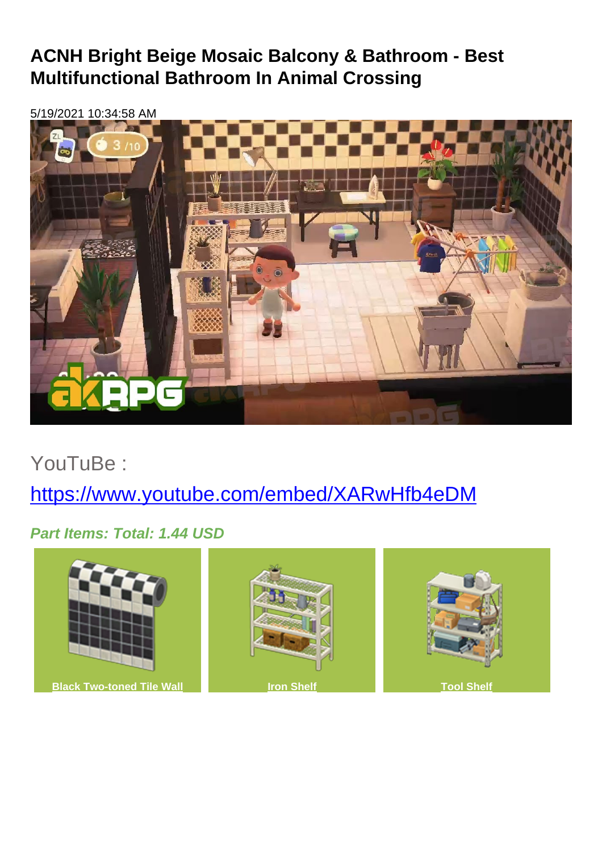## **ACNH Bright Beige Mosaic Balcony & Bathroom - Best Multifunctional Bathroom In Animal Crossing**

5/19/2021 10:34:58 AM



YouTuBe :

<https://www.youtube.com/embed/XARwHfb4eDM>

**Part Items: Total: 1.44 USD**

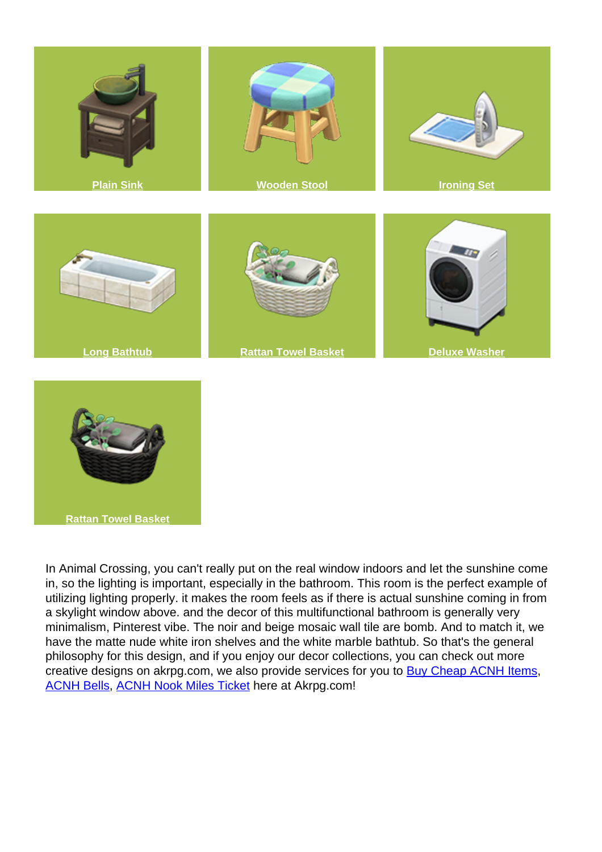

**[Rattan Towel Basket](https://www.akrpg.com/animal-crossing-database-prices/details-rattan-towel-basket)**

In Animal Crossing, you can't really put on the real window indoors and let the sunshine come in, so the lighting is important, especially in the bathroom. This room is the perfect example of utilizing lighting properly. it makes the room feels as if there is actual sunshine coming in from a skylight window above. and the decor of this multifunctional bathroom is generally very minimalism, Pinterest vibe. The noir and beige mosaic wall tile are bomb. And to match it, we have the matte nude white iron shelves and the white marble bathtub. So that's the general philosophy for this design, and if you enjoy our decor collections, you can check out more creative designs on akrpg.com, we also provide services for you to **[Buy Cheap ACNH Items](https://www.akrpg.com/animal-crossing-new-horizons-items)**, [ACNH Bells](https://www.akrpg.com/animal-crossing-new-horizons-bells), [ACNH Nook Miles Ticket](https://www.akrpg.com/buy-nook-miles-tickets) here at Akrpg.com!